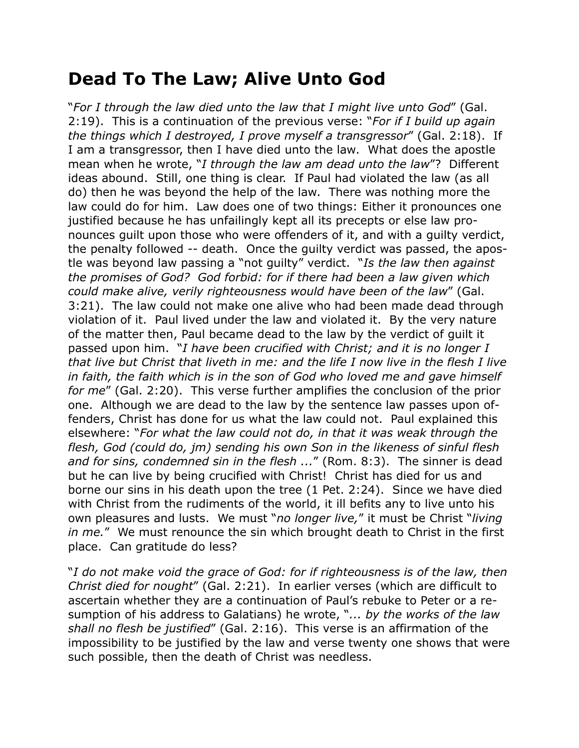## **Dead To The Law; Alive Unto God**

"*For I through the law died unto the law that I might live unto God*" (Gal. 2:19). This is a continuation of the previous verse: "*For if I build up again the things which I destroyed, I prove myself a transgressor*" (Gal. 2:18). If I am a transgressor, then I have died unto the law. What does the apostle mean when he wrote, "*I through the law am dead unto the law*"? Different ideas abound. Still, one thing is clear. If Paul had violated the law (as all do) then he was beyond the help of the law. There was nothing more the law could do for him. Law does one of two things: Either it pronounces one justified because he has unfailingly kept all its precepts or else law pronounces guilt upon those who were offenders of it, and with a guilty verdict, the penalty followed -- death. Once the guilty verdict was passed, the apostle was beyond law passing a "not guilty" verdict. "*Is the law then against the promises of God? God forbid: for if there had been a law given which could make alive, verily righteousness would have been of the law*" (Gal. 3:21). The law could not make one alive who had been made dead through violation of it. Paul lived under the law and violated it. By the very nature of the matter then, Paul became dead to the law by the verdict of guilt it passed upon him. "*I have been crucified with Christ; and it is no longer I that live but Christ that liveth in me: and the life I now live in the flesh I live in faith, the faith which is in the son of God who loved me and gave himself for me*" (Gal. 2:20). This verse further amplifies the conclusion of the prior one. Although we are dead to the law by the sentence law passes upon offenders, Christ has done for us what the law could not. Paul explained this elsewhere: "*For what the law could not do, in that it was weak through the flesh, God (could do, jm) sending his own Son in the likeness of sinful flesh and for sins, condemned sin in the flesh ...*" (Rom. 8:3). The sinner is dead but he can live by being crucified with Christ! Christ has died for us and borne our sins in his death upon the tree (1 Pet. 2:24). Since we have died with Christ from the rudiments of the world, it ill befits any to live unto his own pleasures and lusts. We must "*no longer live,*" it must be Christ "*living in me.*" We must renounce the sin which brought death to Christ in the first place. Can gratitude do less?

"*I do not make void the grace of God: for if righteousness is of the law, then Christ died for nought*" (Gal. 2:21). In earlier verses (which are difficult to ascertain whether they are a continuation of Paul's rebuke to Peter or a resumption of his address to Galatians) he wrote, "*... by the works of the law shall no flesh be justified*" (Gal. 2:16). This verse is an affirmation of the impossibility to be justified by the law and verse twenty one shows that were such possible, then the death of Christ was needless.